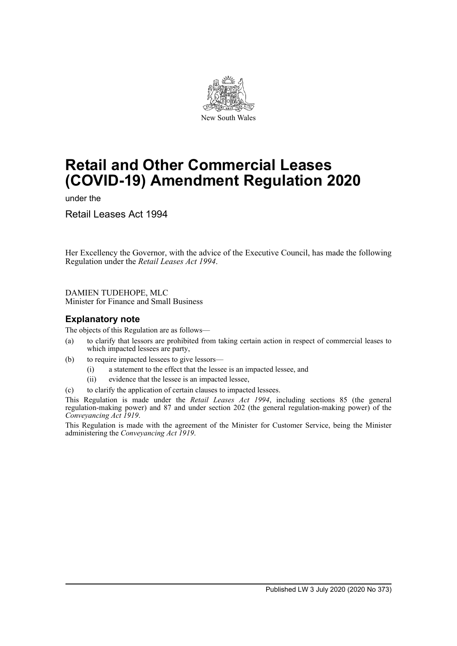

# **Retail and Other Commercial Leases (COVID-19) Amendment Regulation 2020**

under the

Retail Leases Act 1994

Her Excellency the Governor, with the advice of the Executive Council, has made the following Regulation under the *Retail Leases Act 1994*.

DAMIEN TUDEHOPE, MLC

Minister for Finance and Small Business

# **Explanatory note**

The objects of this Regulation are as follows—

- (a) to clarify that lessors are prohibited from taking certain action in respect of commercial leases to which impacted lessees are party,
- (b) to require impacted lessees to give lessors—
	- (i) a statement to the effect that the lessee is an impacted lessee, and
	- (ii) evidence that the lessee is an impacted lessee,
- (c) to clarify the application of certain clauses to impacted lessees.

This Regulation is made under the *Retail Leases Act 1994*, including sections 85 (the general regulation-making power) and 87 and under section 202 (the general regulation-making power) of the *Conveyancing Act 1919*.

This Regulation is made with the agreement of the Minister for Customer Service, being the Minister administering the *Conveyancing Act 1919*.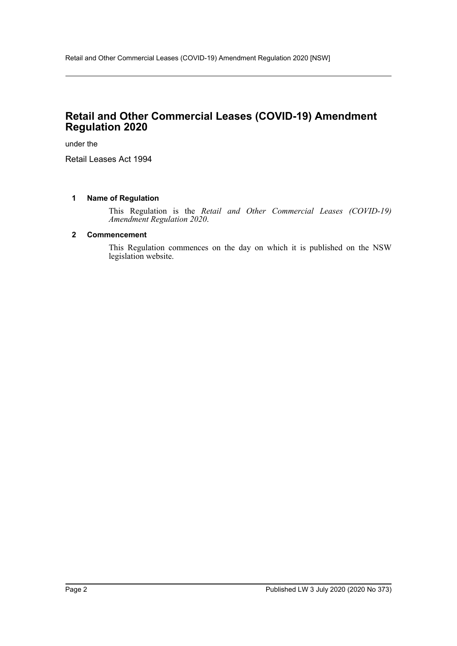# **Retail and Other Commercial Leases (COVID-19) Amendment Regulation 2020**

under the

Retail Leases Act 1994

#### **1 Name of Regulation**

This Regulation is the *Retail and Other Commercial Leases (COVID-19) Amendment Regulation 2020*.

#### **2 Commencement**

This Regulation commences on the day on which it is published on the NSW legislation website.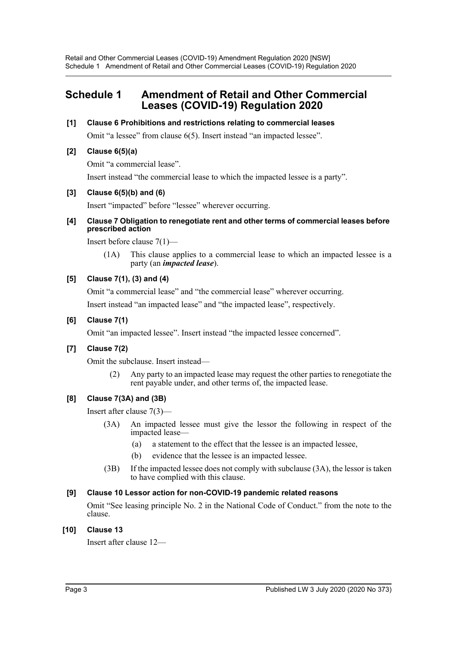# **Schedule 1 Amendment of Retail and Other Commercial Leases (COVID-19) Regulation 2020**

#### **[1] Clause 6 Prohibitions and restrictions relating to commercial leases**

Omit "a lessee" from clause 6(5). Insert instead "an impacted lessee".

# **[2] Clause 6(5)(a)**

Omit "a commercial lease".

Insert instead "the commercial lease to which the impacted lessee is a party".

# **[3] Clause 6(5)(b) and (6)**

Insert "impacted" before "lessee" wherever occurring.

#### **[4] Clause 7 Obligation to renegotiate rent and other terms of commercial leases before prescribed action**

Insert before clause 7(1)—

(1A) This clause applies to a commercial lease to which an impacted lessee is a party (an *impacted lease*).

# **[5] Clause 7(1), (3) and (4)**

Omit "a commercial lease" and "the commercial lease" wherever occurring.

Insert instead "an impacted lease" and "the impacted lease", respectively.

# **[6] Clause 7(1)**

Omit "an impacted lessee". Insert instead "the impacted lessee concerned".

# **[7] Clause 7(2)**

Omit the subclause. Insert instead—

(2) Any party to an impacted lease may request the other parties to renegotiate the rent payable under, and other terms of, the impacted lease.

# **[8] Clause 7(3A) and (3B)**

Insert after clause 7(3)—

- (3A) An impacted lessee must give the lessor the following in respect of the impacted lease—
	- (a) a statement to the effect that the lessee is an impacted lessee,
	- (b) evidence that the lessee is an impacted lessee.
- (3B) If the impacted lessee does not comply with subclause (3A), the lessor is taken to have complied with this clause.

# **[9] Clause 10 Lessor action for non-COVID-19 pandemic related reasons**

Omit "See leasing principle No. 2 in the National Code of Conduct." from the note to the clause.

#### **[10] Clause 13**

Insert after clause 12—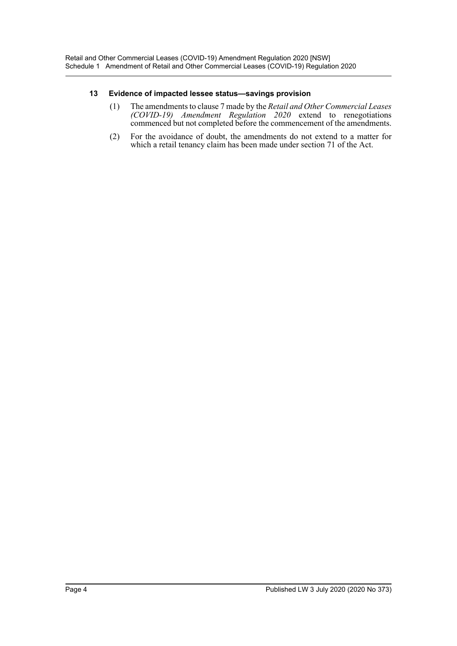#### **13 Evidence of impacted lessee status—savings provision**

- (1) The amendments to clause 7 made by the *Retail and Other Commercial Leases (COVID-19) Amendment Regulation 2020* extend to renegotiations commenced but not completed before the commencement of the amendments.
- (2) For the avoidance of doubt, the amendments do not extend to a matter for which a retail tenancy claim has been made under section 71 of the Act.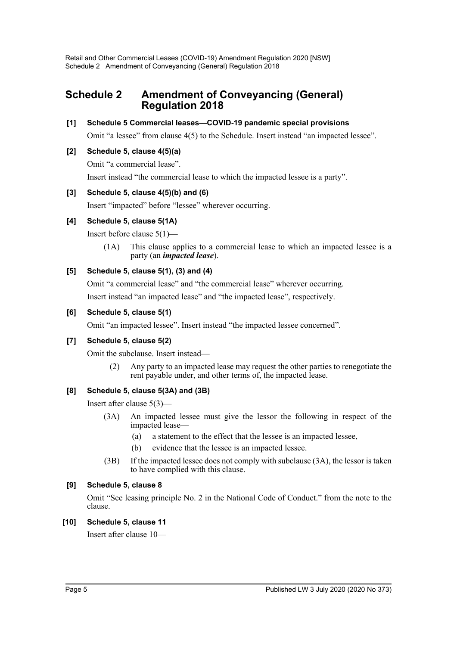# **Schedule 2 Amendment of Conveyancing (General) Regulation 2018**

# **[1] Schedule 5 Commercial leases—COVID-19 pandemic special provisions**

Omit "a lessee" from clause 4(5) to the Schedule. Insert instead "an impacted lessee".

# **[2] Schedule 5, clause 4(5)(a)**

Omit "a commercial lease".

Insert instead "the commercial lease to which the impacted lessee is a party".

# **[3] Schedule 5, clause 4(5)(b) and (6)**

Insert "impacted" before "lessee" wherever occurring.

# **[4] Schedule 5, clause 5(1A)**

Insert before clause 5(1)—

(1A) This clause applies to a commercial lease to which an impacted lessee is a party (an *impacted lease*).

# **[5] Schedule 5, clause 5(1), (3) and (4)**

Omit "a commercial lease" and "the commercial lease" wherever occurring.

Insert instead "an impacted lease" and "the impacted lease", respectively.

#### **[6] Schedule 5, clause 5(1)**

Omit "an impacted lessee". Insert instead "the impacted lessee concerned".

#### **[7] Schedule 5, clause 5(2)**

Omit the subclause. Insert instead—

(2) Any party to an impacted lease may request the other parties to renegotiate the rent payable under, and other terms of, the impacted lease.

# **[8] Schedule 5, clause 5(3A) and (3B)**

Insert after clause 5(3)—

- (3A) An impacted lessee must give the lessor the following in respect of the impacted lease—
	- (a) a statement to the effect that the lessee is an impacted lessee,
	- (b) evidence that the lessee is an impacted lessee.
- (3B) If the impacted lessee does not comply with subclause (3A), the lessor is taken to have complied with this clause.

#### **[9] Schedule 5, clause 8**

Omit "See leasing principle No. 2 in the National Code of Conduct." from the note to the clause.

#### **[10] Schedule 5, clause 11**

Insert after clause 10—